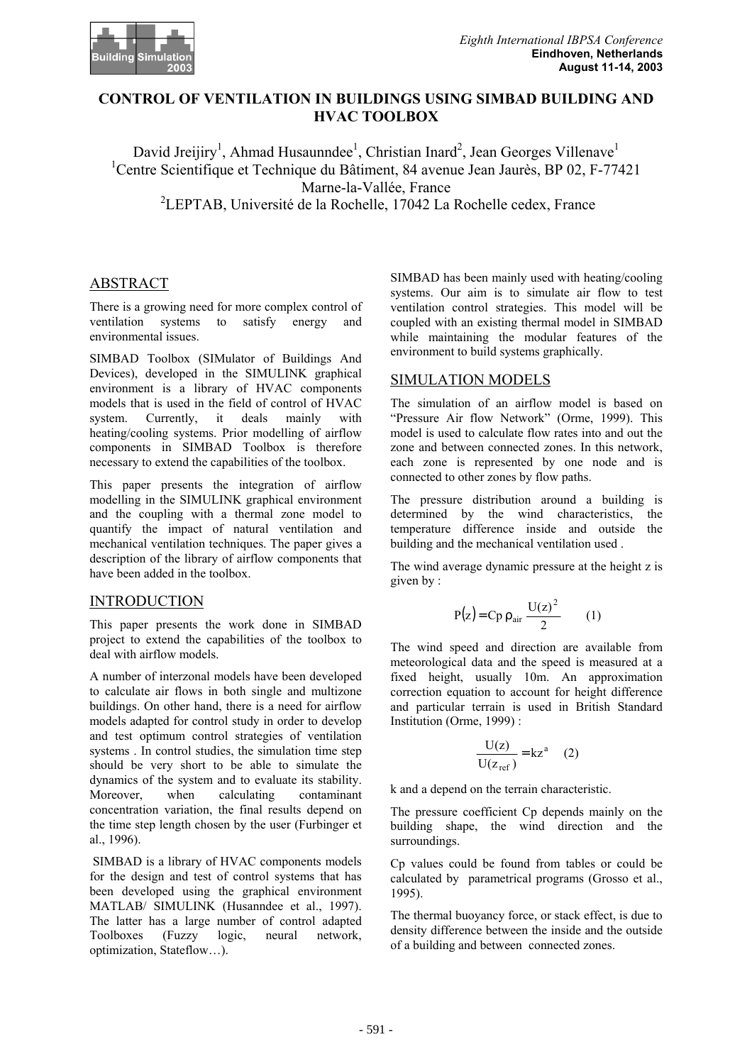

## **CONTROL OF VENTILATION IN BUILDINGS USING SIMBAD BUILDING AND HVAC TOOLBOX**

David Jreijiry<sup>1</sup>, Ahmad Husaunndee<sup>1</sup>, Christian Inard<sup>2</sup>, Jean Georges Villenave<sup>1</sup> <sup>1</sup>Centre Scientifique et Technique du Bâtiment, 84 avenue Jean Jaurès, BP 02, F-77421 Marne-la-Vallée, France <sup>2</sup>LEPTAB, Université de la Rochelle, 17042 La Rochelle cedex, France

# ABSTRACT

There is a growing need for more complex control of ventilation systems to satisfy energy and environmental issues.

SIMBAD Toolbox (SIMulator of Buildings And Devices), developed in the SIMULINK graphical environment is a library of HVAC components models that is used in the field of control of HVAC system. Currently, it deals mainly with heating/cooling systems. Prior modelling of airflow components in SIMBAD Toolbox is therefore necessary to extend the capabilities of the toolbox.

This paper presents the integration of airflow modelling in the SIMULINK graphical environment and the coupling with a thermal zone model to quantify the impact of natural ventilation and mechanical ventilation techniques. The paper gives a description of the library of airflow components that have been added in the toolbox.

## INTRODUCTION

This paper presents the work done in SIMBAD project to extend the capabilities of the toolbox to deal with airflow models.

A number of interzonal models have been developed to calculate air flows in both single and multizone buildings. On other hand, there is a need for airflow models adapted for control study in order to develop and test optimum control strategies of ventilation systems . In control studies, the simulation time step should be very short to be able to simulate the dynamics of the system and to evaluate its stability. Moreover, when calculating contaminant concentration variation, the final results depend on the time step length chosen by the user (Furbinger et al., 1996).

 SIMBAD is a library of HVAC components models for the design and test of control systems that has been developed using the graphical environment MATLAB/ SIMULINK (Husanndee et al., 1997). The latter has a large number of control adapted Toolboxes (Fuzzy logic, neural network, optimization, Stateflow…).

SIMBAD has been mainly used with heating/cooling systems. Our aim is to simulate air flow to test ventilation control strategies. This model will be coupled with an existing thermal model in SIMBAD while maintaining the modular features of the environment to build systems graphically.

# SIMULATION MODELS

The simulation of an airflow model is based on "Pressure Air flow Network" (Orme, 1999). This model is used to calculate flow rates into and out the zone and between connected zones. In this network, each zone is represented by one node and is connected to other zones by flow paths.

The pressure distribution around a building is determined by the wind characteristics, the temperature difference inside and outside the building and the mechanical ventilation used .

The wind average dynamic pressure at the height z is given by :

$$
P(z) = Cp \rho_{air} \frac{U(z)^2}{2} \qquad (1)
$$

The wind speed and direction are available from meteorological data and the speed is measured at a fixed height, usually 10m. An approximation correction equation to account for height difference and particular terrain is used in British Standard Institution (Orme, 1999) :

$$
\frac{U(z)}{U(z_{ref})} = kz^{a}
$$
 (2)

k and a depend on the terrain characteristic.

The pressure coefficient Cp depends mainly on the building shape, the wind direction and the surroundings.

Cp values could be found from tables or could be calculated by parametrical programs (Grosso et al., 1995).

The thermal buoyancy force, or stack effect, is due to density difference between the inside and the outside of a building and between connected zones.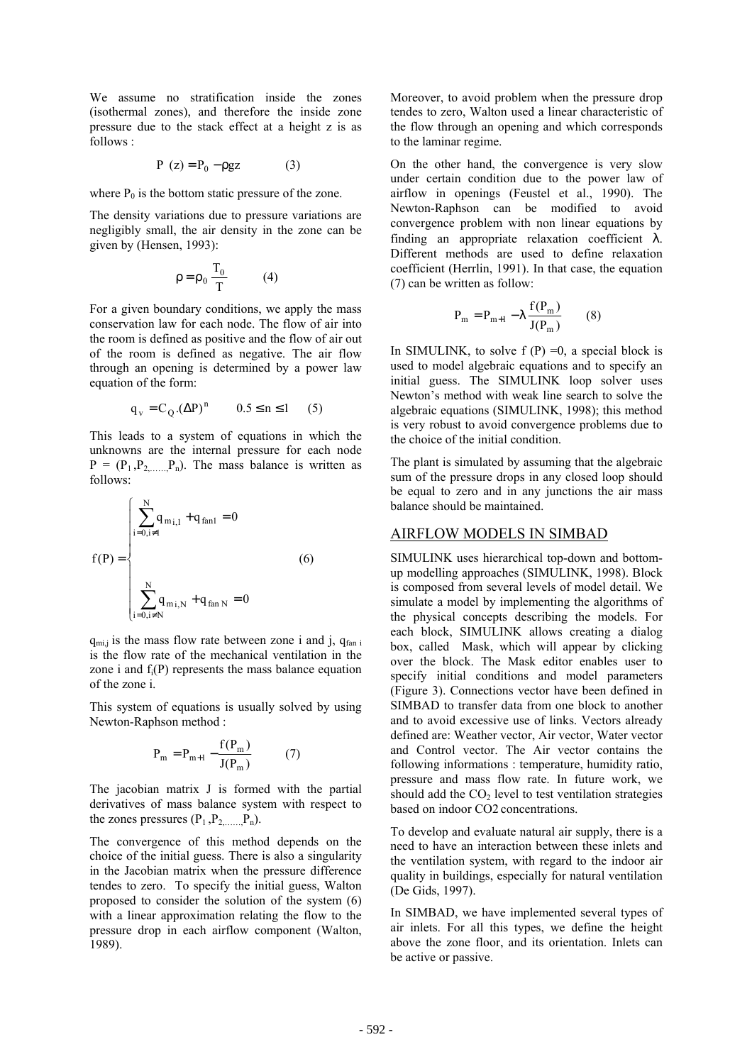We assume no stratification inside the zones (isothermal zones), and therefore the inside zone pressure due to the stack effect at a height z is as follows :

$$
P(z) = P_0 - \rho gz \tag{3}
$$

where  $P_0$  is the bottom static pressure of the zone.

The density variations due to pressure variations are negligibly small, the air density in the zone can be given by (Hensen, 1993):

$$
\rho = \rho_0 \frac{T_0}{T} \tag{4}
$$

For a given boundary conditions, we apply the mass conservation law for each node. The flow of air into the room is defined as positive and the flow of air out of the room is defined as negative. The air flow through an opening is determined by a power law equation of the form:

$$
q_v = C_Q . (\Delta P)^n
$$
  $0.5 \le n \le 1$  (5)

This leads to a system of equations in which the unknowns are the internal pressure for each node  $P = (P_1, P_2, \dots, P_n)$ . The mass balance is written as follows:

$$
f(P) = \begin{cases} \sum_{i=0, i \neq 1}^{N} q_{m i, 1} + q_{fan1} = 0 \\ \vdots \\ \sum_{i=0, i \neq N}^{N} q_{m i, N} + q_{fan N} = 0 \end{cases}
$$
 (6)

 $q_{mi,j}$  is the mass flow rate between zone i and j,  $q_{fan,i}$ is the flow rate of the mechanical ventilation in the zone i and  $f_i(P)$  represents the mass balance equation of the zone i.

This system of equations is usually solved by using Newton-Raphson method :

$$
P_m = P_{m+1} - \frac{f(P_m)}{J(P_m)}
$$
 (7)

The jacobian matrix J is formed with the partial derivatives of mass balance system with respect to the zones pressures  $(P_1, P_2, \ldots, P_n)$ .

The convergence of this method depends on the choice of the initial guess. There is also a singularity in the Jacobian matrix when the pressure difference tendes to zero. To specify the initial guess, Walton proposed to consider the solution of the system (6) with a linear approximation relating the flow to the pressure drop in each airflow component (Walton, 1989).

Moreover, to avoid problem when the pressure drop tendes to zero, Walton used a linear characteristic of the flow through an opening and which corresponds to the laminar regime.

On the other hand, the convergence is very slow under certain condition due to the power law of airflow in openings (Feustel et al., 1990). The Newton-Raphson can be modified to avoid convergence problem with non linear equations by finding an appropriate relaxation coefficient  $\lambda$ . Different methods are used to define relaxation coefficient (Herrlin, 1991). In that case, the equation (7) can be written as follow:

$$
P_{m} = P_{m+1} - \lambda \frac{f(P_{m})}{J(P_{m})}
$$
 (8)

In SIMULINK, to solve  $f(P) = 0$ , a special block is used to model algebraic equations and to specify an initial guess. The SIMULINK loop solver uses Newton's method with weak line search to solve the algebraic equations (SIMULINK, 1998); this method is very robust to avoid convergence problems due to the choice of the initial condition.

The plant is simulated by assuming that the algebraic sum of the pressure drops in any closed loop should be equal to zero and in any junctions the air mass balance should be maintained.

#### AIRFLOW MODELS IN SIMBAD

SIMULINK uses hierarchical top-down and bottomup modelling approaches (SIMULINK, 1998). Block is composed from several levels of model detail. We simulate a model by implementing the algorithms of the physical concepts describing the models. For each block, SIMULINK allows creating a dialog box, called Mask, which will appear by clicking over the block. The Mask editor enables user to specify initial conditions and model parameters (Figure 3). Connections vector have been defined in SIMBAD to transfer data from one block to another and to avoid excessive use of links. Vectors already defined are: Weather vector, Air vector, Water vector and Control vector. The Air vector contains the following informations : temperature, humidity ratio, pressure and mass flow rate. In future work, we should add the  $CO<sub>2</sub>$  level to test ventilation strategies based on indoor CO2 concentrations.

To develop and evaluate natural air supply, there is a need to have an interaction between these inlets and the ventilation system, with regard to the indoor air quality in buildings, especially for natural ventilation (De Gids, 1997).

In SIMBAD, we have implemented several types of air inlets. For all this types, we define the height above the zone floor, and its orientation. Inlets can be active or passive.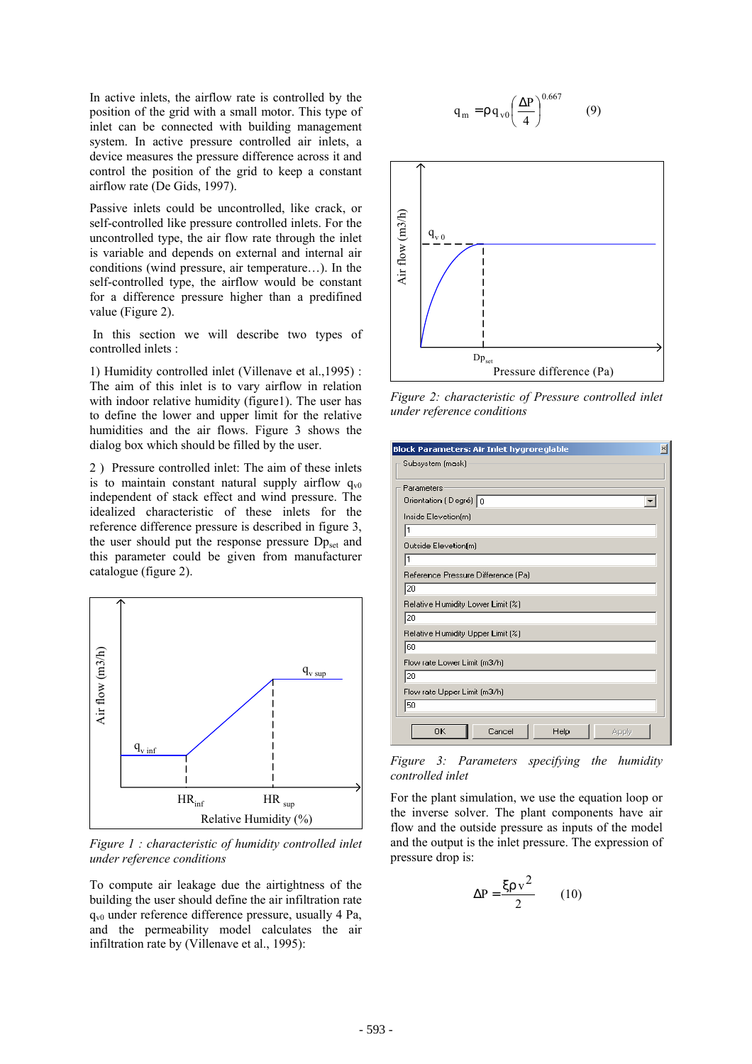In active inlets, the airflow rate is controlled by the position of the grid with a small motor. This type of inlet can be connected with building management system. In active pressure controlled air inlets, a device measures the pressure difference across it and control the position of the grid to keep a constant airflow rate (De Gids, 1997).

Passive inlets could be uncontrolled, like crack, or self-controlled like pressure controlled inlets. For the uncontrolled type, the air flow rate through the inlet is variable and depends on external and internal air conditions (wind pressure, air temperature…). In the self-controlled type, the airflow would be constant for a difference pressure higher than a predifined value (Figure 2).

 In this section we will describe two types of controlled inlets :

1) Humidity controlled inlet (Villenave et al.,1995) : The aim of this inlet is to vary airflow in relation with indoor relative humidity (figure1). The user has to define the lower and upper limit for the relative humidities and the air flows. Figure 3 shows the dialog box which should be filled by the user.

2 ) Pressure controlled inlet: The aim of these inlets is to maintain constant natural supply airflow  $q_{v0}$ independent of stack effect and wind pressure. The idealized characteristic of these inlets for the reference difference pressure is described in figure 3, the user should put the response pressure  $Dp_{set}$  and this parameter could be given from manufacturer catalogue (figure 2).



*Figure 1 : characteristic of humidity controlled inlet under reference conditions* 

To compute air leakage due the airtightness of the building the user should define the air infiltration rate  $q_{v0}$  under reference difference pressure, usually 4 Pa, and the permeability model calculates the air infiltration rate by (Villenave et al., 1995):

$$
q_m = \rho q_{\rm v0} \left(\frac{\Delta P}{4}\right)^{0.667} \tag{9}
$$



*Figure 2: characteristic of Pressure controlled inlet under reference conditions* 

| Block Parameters: Air Inlet hygroreglable |
|-------------------------------------------|
| Subsystem (mask)                          |
| Parameters                                |
| Orientation (Degré) 0                     |
| Inside Elevetion(m)                       |
| l1                                        |
| Outside Elevetion(m)                      |
| 1                                         |
| Reference Pressure Difference [Pa]        |
| 20                                        |
| Relative Humidity Lower Limit [%]         |
| 20                                        |
| Relative Humidity Upper Limit [%]         |
| 60                                        |
| Flow rate Lower Limit (m3/h)              |
| 20                                        |
| Flow rate Upper Limit (m3/h)              |
| 50                                        |
| OΚ<br>Cancel<br>Help<br>Apply             |

*Figure 3: Parameters specifying the humidity controlled inlet* 

For the plant simulation, we use the equation loop or the inverse solver. The plant components have air flow and the outside pressure as inputs of the model and the output is the inlet pressure. The expression of pressure drop is:

$$
\Delta P = \frac{\xi \rho v^2}{2} \qquad (10)
$$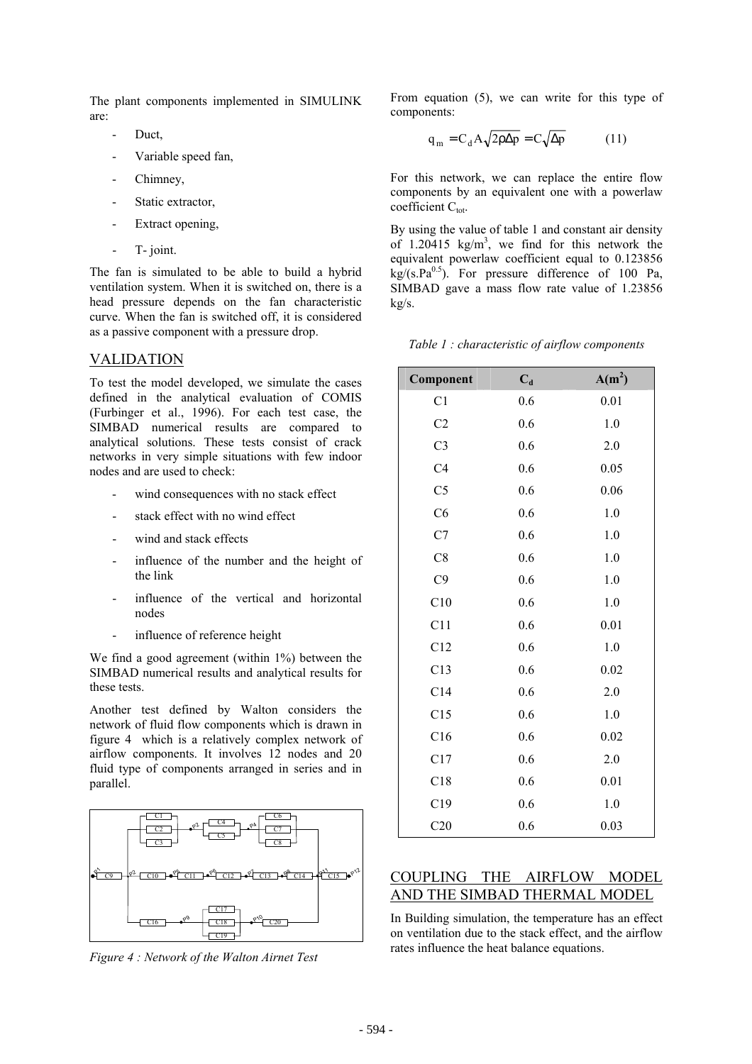The plant components implemented in SIMULINK are:

- Duct.
- Variable speed fan,
- Chimney,
- Static extractor,
- Extract opening,
- T- joint.

The fan is simulated to be able to build a hybrid ventilation system. When it is switched on, there is a head pressure depends on the fan characteristic curve. When the fan is switched off, it is considered as a passive component with a pressure drop.

### VALIDATION

To test the model developed, we simulate the cases defined in the analytical evaluation of COMIS (Furbinger et al., 1996). For each test case, the SIMBAD numerical results are compared to analytical solutions. These tests consist of crack networks in very simple situations with few indoor nodes and are used to check:

- wind consequences with no stack effect
- stack effect with no wind effect
- wind and stack effects
- influence of the number and the height of the link
- influence of the vertical and horizontal nodes
- influence of reference height

We find a good agreement (within 1%) between the SIMBAD numerical results and analytical results for these tests.

Another test defined by Walton considers the network of fluid flow components which is drawn in figure 4 which is a relatively complex network of airflow components. It involves 12 nodes and 20 fluid type of components arranged in series and in parallel.



*Figure 4 : Network of the Walton Airnet Test*

From equation (5), we can write for this type of components:

$$
q_m = C_d A \sqrt{2\rho \Delta p} = C \sqrt{\Delta p} \tag{11}
$$

For this network, we can replace the entire flow components by an equivalent one with a powerlaw coefficient  $C_{\text{tot}}$ .

By using the value of table 1 and constant air density of 1.20415  $\text{kg/m}^3$ , we find for this network the equivalent powerlaw coefficient equal to 0.123856  $kg/(s.Pa^{0.5})$ . For pressure difference of 100 Pa, SIMBAD gave a mass flow rate value of 1.23856 kg/s.

| Table $1$ : characteristic of airflow components |  |  |
|--------------------------------------------------|--|--|
|--------------------------------------------------|--|--|

| Component      | $\mathbf{C}_{\mathbf{d}}$ | $A(m^2)$ |
|----------------|---------------------------|----------|
| C1             | 0.6                       | 0.01     |
| C <sub>2</sub> | 0.6                       | $1.0\,$  |
| C <sub>3</sub> | 0.6                       | 2.0      |
| C <sub>4</sub> | 0.6                       | 0.05     |
| C <sub>5</sub> | 0.6                       | 0.06     |
| C6             | 0.6                       | $1.0\,$  |
| C7             | 0.6                       | 1.0      |
| C8             | 0.6                       | 1.0      |
| C9             | 0.6                       | $1.0\,$  |
| C10            | 0.6                       | 1.0      |
| C11            | 0.6                       | 0.01     |
| C12            | 0.6                       | $1.0\,$  |
| C13            | 0.6                       | 0.02     |
| C14            | 0.6                       | $2.0$    |
| C15            | 0.6                       | 1.0      |
| C16            | 0.6                       | 0.02     |
| C17            | 0.6                       | 2.0      |
| C18            | 0.6                       | 0.01     |
| C19            | 0.6                       | $1.0\,$  |
| C20            | 0.6                       | 0.03     |

# COUPLING THE AIRFLOW MODEL AND THE SIMBAD THERMAL MODEL

In Building simulation, the temperature has an effect on ventilation due to the stack effect, and the airflow rates influence the heat balance equations.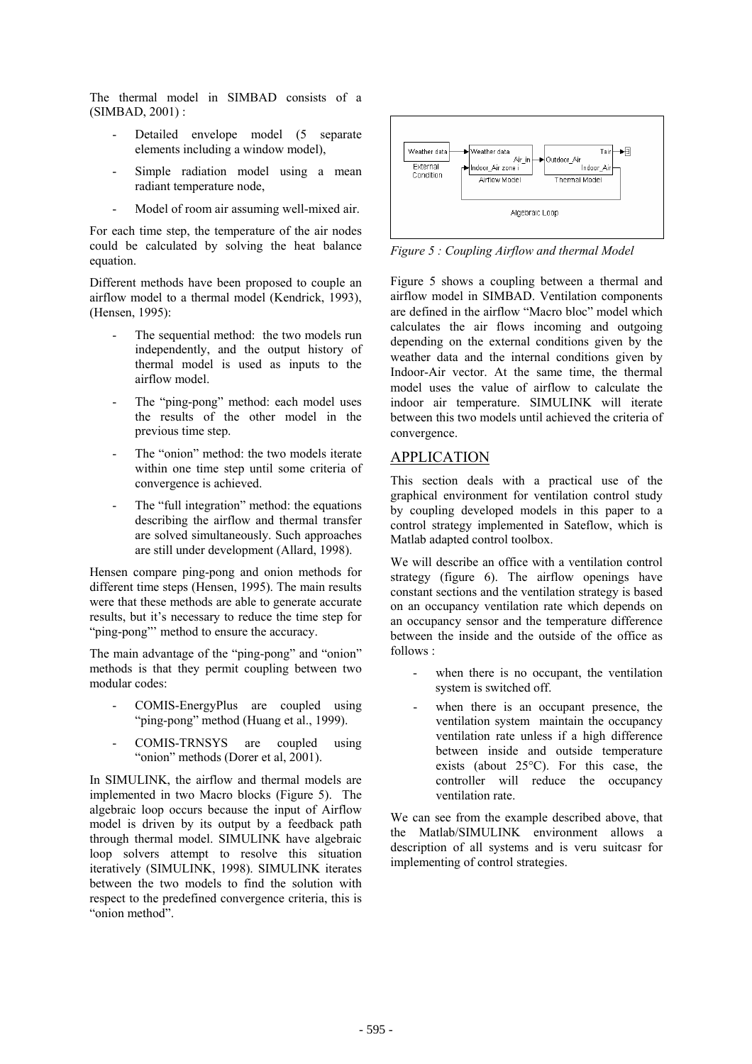The thermal model in SIMBAD consists of a (SIMBAD, 2001) :

- Detailed envelope model (5 separate elements including a window model),
- Simple radiation model using a mean radiant temperature node,
- Model of room air assuming well-mixed air.

For each time step, the temperature of the air nodes could be calculated by solving the heat balance equation.

Different methods have been proposed to couple an airflow model to a thermal model (Kendrick, 1993), (Hensen, 1995):

- The sequential method: the two models run independently, and the output history of thermal model is used as inputs to the airflow model.
- The "ping-pong" method: each model uses the results of the other model in the previous time step.
- The "onion" method: the two models iterate within one time step until some criteria of convergence is achieved.
- The "full integration" method: the equations describing the airflow and thermal transfer are solved simultaneously. Such approaches are still under development (Allard, 1998).

Hensen compare ping-pong and onion methods for different time steps (Hensen, 1995). The main results were that these methods are able to generate accurate results, but it's necessary to reduce the time step for "ping-pong"' method to ensure the accuracy.

The main advantage of the "ping-pong" and "onion" methods is that they permit coupling between two modular codes:

- COMIS-EnergyPlus are coupled using "ping-pong" method (Huang et al., 1999).
- COMIS-TRNSYS are coupled using "onion" methods (Dorer et al, 2001).

In SIMULINK, the airflow and thermal models are implemented in two Macro blocks (Figure 5). The algebraic loop occurs because the input of Airflow model is driven by its output by a feedback path through thermal model. SIMULINK have algebraic loop solvers attempt to resolve this situation iteratively (SIMULINK, 1998). SIMULINK iterates between the two models to find the solution with respect to the predefined convergence criteria, this is "onion method".



*Figure 5 : Coupling Airflow and thermal Model* 

Figure 5 shows a coupling between a thermal and airflow model in SIMBAD. Ventilation components are defined in the airflow "Macro bloc" model which calculates the air flows incoming and outgoing depending on the external conditions given by the weather data and the internal conditions given by Indoor-Air vector. At the same time, the thermal model uses the value of airflow to calculate the indoor air temperature. SIMULINK will iterate between this two models until achieved the criteria of convergence.

## APPLICATION

This section deals with a practical use of the graphical environment for ventilation control study by coupling developed models in this paper to a control strategy implemented in Sateflow, which is Matlab adapted control toolbox.

We will describe an office with a ventilation control strategy (figure 6). The airflow openings have constant sections and the ventilation strategy is based on an occupancy ventilation rate which depends on an occupancy sensor and the temperature difference between the inside and the outside of the office as follows :

- when there is no occupant, the ventilation system is switched off.
- when there is an occupant presence, the ventilation system maintain the occupancy ventilation rate unless if a high difference between inside and outside temperature exists (about 25°C). For this case, the controller will reduce the occupancy ventilation rate.

We can see from the example described above, that the Matlab/SIMULINK environment allows a description of all systems and is veru suitcasr for implementing of control strategies.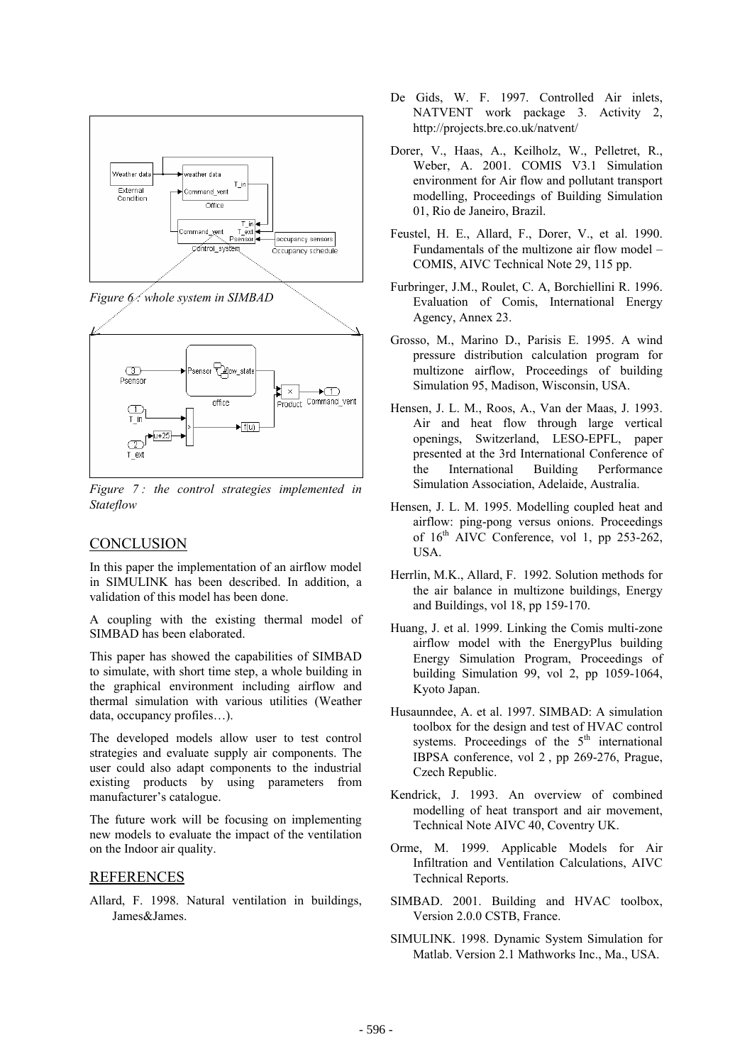

*Figure 6 : whole system in SIMBAD*



*Figure 7 : the control strategies implemented in Stateflow* 

## **CONCLUSION**

In this paper the implementation of an airflow model in SIMULINK has been described. In addition, a validation of this model has been done.

A coupling with the existing thermal model of SIMBAD has been elaborated.

This paper has showed the capabilities of SIMBAD to simulate, with short time step, a whole building in the graphical environment including airflow and thermal simulation with various utilities (Weather data, occupancy profiles…).

The developed models allow user to test control strategies and evaluate supply air components. The user could also adapt components to the industrial existing products by using parameters from manufacturer's catalogue.

The future work will be focusing on implementing new models to evaluate the impact of the ventilation on the Indoor air quality.

#### REFERENCES

Allard, F. 1998. Natural ventilation in buildings, James&James.

- De Gids, W. F. 1997. Controlled Air inlets, NATVENT work package 3. Activity 2, http://projects.bre.co.uk/natvent/
- Dorer, V., Haas, A., Keilholz, W., Pelletret, R., Weber, A. 2001. COMIS V3.1 Simulation environment for Air flow and pollutant transport modelling, Proceedings of Building Simulation 01, Rio de Janeiro, Brazil.
- Feustel, H. E., Allard, F., Dorer, V., et al. 1990. Fundamentals of the multizone air flow model – COMIS, AIVC Technical Note 29, 115 pp.
- Furbringer, J.M., Roulet, C. A, Borchiellini R. 1996. Evaluation of Comis, International Energy Agency, Annex 23.
- Grosso, M., Marino D., Parisis E. 1995. A wind pressure distribution calculation program for multizone airflow, Proceedings of building Simulation 95, Madison, Wisconsin, USA.
- Hensen, J. L. M., Roos, A., Van der Maas, J. 1993. Air and heat flow through large vertical openings, Switzerland, LESO-EPFL, paper presented at the 3rd International Conference of the International Building Performance Simulation Association, Adelaide, Australia.
- Hensen, J. L. M. 1995. Modelling coupled heat and airflow: ping-pong versus onions. Proceedings of  $16<sup>th</sup>$  AIVC Conference, vol 1, pp 253-262, **USA**
- Herrlin, M.K., Allard, F. 1992. Solution methods for the air balance in multizone buildings, Energy and Buildings, vol 18, pp 159-170.
- Huang, J. et al. 1999. Linking the Comis multi-zone airflow model with the EnergyPlus building Energy Simulation Program, Proceedings of building Simulation 99, vol 2, pp 1059-1064, Kyoto Japan.
- Husaunndee, A. et al. 1997. SIMBAD: A simulation toolbox for the design and test of HVAC control systems. Proceedings of the  $5<sup>th</sup>$  international IBPSA conference, vol 2 , pp 269-276, Prague, Czech Republic.
- Kendrick, J. 1993. An overview of combined modelling of heat transport and air movement, Technical Note AIVC 40, Coventry UK.
- Orme, M. 1999. Applicable Models for Air Infiltration and Ventilation Calculations, AIVC Technical Reports.
- SIMBAD. 2001. Building and HVAC toolbox, Version 2.0.0 CSTB, France.
- SIMULINK. 1998. Dynamic System Simulation for Matlab. Version 2.1 Mathworks Inc., Ma., USA.